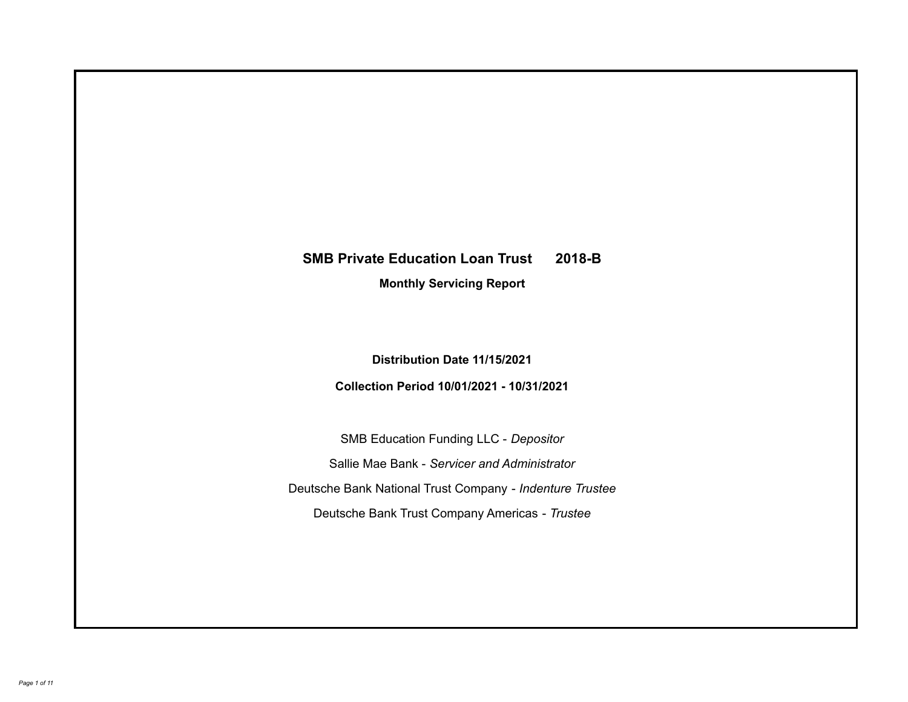# **SMB Private Education Loan Trust 2018-B**

**Monthly Servicing Report**

**Distribution Date 11/15/2021**

**Collection Period 10/01/2021 - 10/31/2021**

SMB Education Funding LLC - *Depositor* Sallie Mae Bank - *Servicer and Administrator* Deutsche Bank National Trust Company - *Indenture Trustee* Deutsche Bank Trust Company Americas - *Trustee*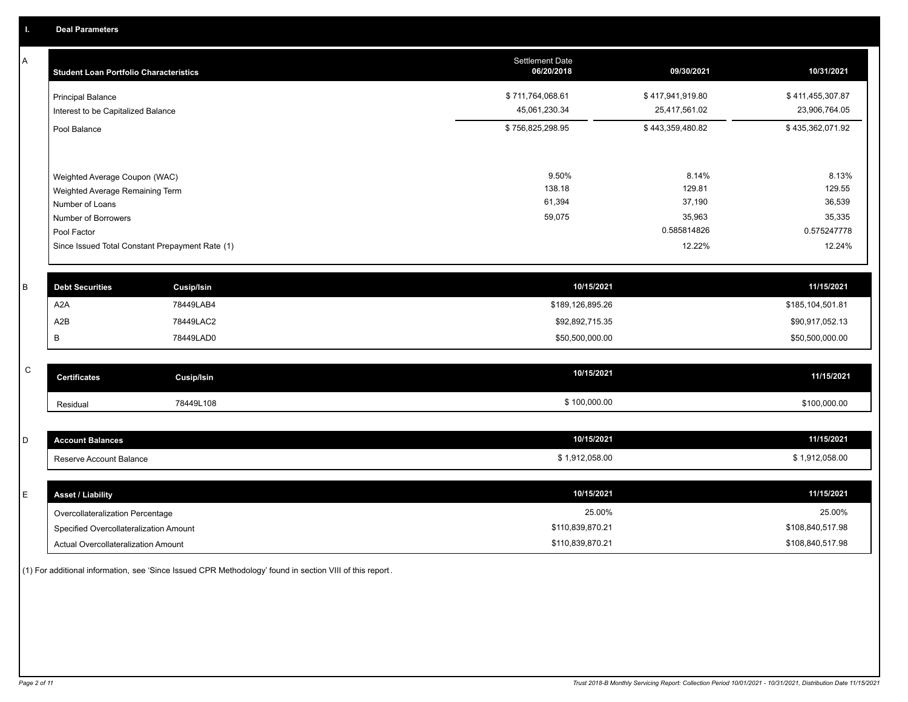A

| А | <b>Student Loan Portfolio Characteristics</b>                  |                                                 | <b>Settlement Date</b><br>06/20/2018 | 09/30/2021                        | 10/31/2021                        |
|---|----------------------------------------------------------------|-------------------------------------------------|--------------------------------------|-----------------------------------|-----------------------------------|
|   | <b>Principal Balance</b><br>Interest to be Capitalized Balance |                                                 | \$711,764,068.61<br>45,061,230.34    | \$417,941,919.80<br>25,417,561.02 | \$411,455,307.87<br>23,906,764.05 |
|   | Pool Balance                                                   |                                                 | \$756,825,298.95                     | \$443,359,480.82                  | \$435,362,071.92                  |
|   | Weighted Average Coupon (WAC)                                  |                                                 | 9.50%                                | 8.14%                             | 8.13%                             |
|   | Weighted Average Remaining Term                                |                                                 | 138.18                               | 129.81                            | 129.55                            |
|   | Number of Loans                                                |                                                 | 61,394                               | 37,190                            | 36,539                            |
|   | Number of Borrowers                                            |                                                 | 59,075                               | 35,963                            | 35,335                            |
|   | Pool Factor                                                    |                                                 |                                      | 0.585814826                       | 0.575247778                       |
|   |                                                                | Since Issued Total Constant Prepayment Rate (1) |                                      | 12.22%                            | 12.24%                            |
|   |                                                                |                                                 |                                      |                                   |                                   |
| B | <b>Debt Securities</b>                                         | <b>Cusip/Isin</b>                               | 10/15/2021                           |                                   | 11/15/2021                        |
|   | A <sub>2</sub> A                                               | 78449LAB4                                       | \$189,126,895.26                     |                                   | \$185,104,501.81                  |
|   | A2B                                                            | 78449LAC2                                       | \$92,892,715.35                      |                                   | \$90,917,052.13                   |

| $\sim$<br>$\overline{ }$ | <b>Certificates</b> | <b>Cusip/Isin</b> | 10/15/2021   | 11/15/2021   |
|--------------------------|---------------------|-------------------|--------------|--------------|
|                          | Residual            | 78449L108         | \$100,000.00 | \$100,000.00 |

B 78449LAD0 \$50,500,000.00 \$50,500,000.00

| count Balances<br>,     | 10/15/2021     | 11/15/2021   |
|-------------------------|----------------|--------------|
| Reserve Account Balance | \$1,912,058.00 | 1.912.058.00 |

| <b>Asset / Liability</b>               | 10/15/2021       | 11/15/2021       |
|----------------------------------------|------------------|------------------|
| Overcollateralization Percentage       | 25.00%           | 25.00%           |
| Specified Overcollateralization Amount | \$110,839,870.21 | \$108,840,517.98 |
| Actual Overcollateralization Amount    | \$110,839,870.21 | \$108,840,517.98 |

(1) For additional information, see 'Since Issued CPR Methodology' found in section VIII of this report .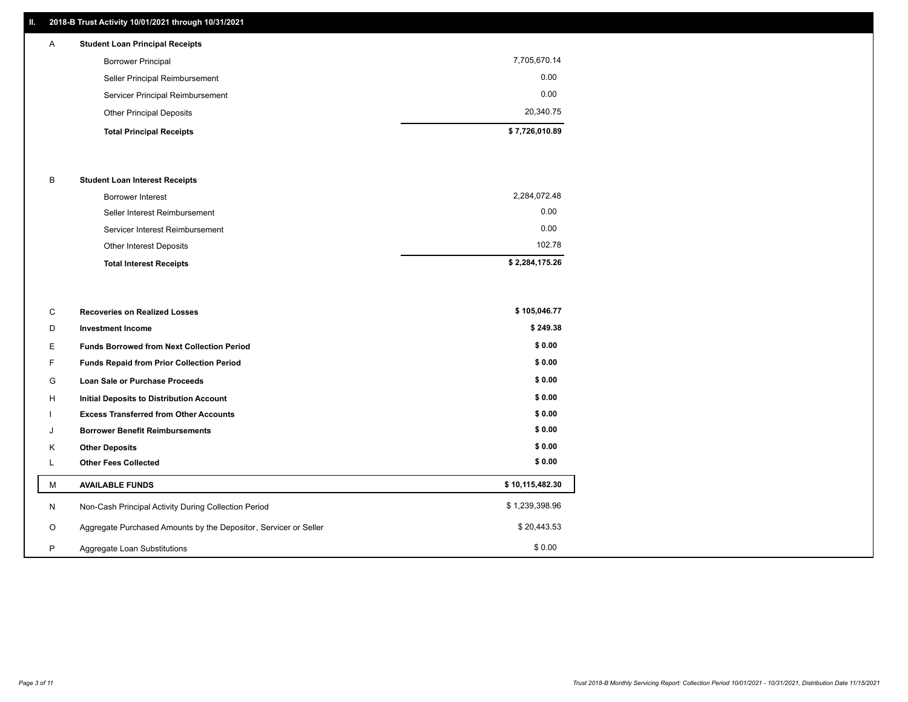# **II. 2018-B Trust Activity 10/01/2021 through 10/31/2021**

| A | <b>Student Loan Principal Receipts</b> |              |
|---|----------------------------------------|--------------|
|   | <b>Borrower Principal</b>              | 7,705,670.14 |
|   | Seller Principal Reimbursement         | 0.00         |
|   | Servicer Principal Reimbursement       | 0.00         |

| <b>Other Principal Deposits</b> | 20.340.75      |
|---------------------------------|----------------|
| <b>Total Principal Receipts</b> | \$7.726.010.89 |

## B **Student Loan Interest Receipts**

| <b>Total Interest Receipts</b>  | \$2,284,175.26 |
|---------------------------------|----------------|
| Other Interest Deposits         | 102.78         |
| Servicer Interest Reimbursement | 0.00           |
| Seller Interest Reimbursement   | 0.00           |
| Borrower Interest               | 2,284,072.48   |

| C       | <b>Recoveries on Realized Losses</b>                             | \$105,046.77    |
|---------|------------------------------------------------------------------|-----------------|
| D       | <b>Investment Income</b>                                         | \$249.38        |
| Е       | <b>Funds Borrowed from Next Collection Period</b>                | \$0.00          |
| F.      | Funds Repaid from Prior Collection Period                        | \$0.00          |
| G       | Loan Sale or Purchase Proceeds                                   | \$0.00          |
| H       | Initial Deposits to Distribution Account                         | \$0.00          |
|         | <b>Excess Transferred from Other Accounts</b>                    | \$0.00          |
| J       | <b>Borrower Benefit Reimbursements</b>                           | \$0.00          |
| K       | <b>Other Deposits</b>                                            | \$0.00          |
| L       | <b>Other Fees Collected</b>                                      | \$0.00          |
| M       | <b>AVAILABLE FUNDS</b>                                           | \$10,115,482.30 |
| N       | Non-Cash Principal Activity During Collection Period             | \$1,239,398.96  |
| $\circ$ | Aggregate Purchased Amounts by the Depositor, Servicer or Seller | \$20,443.53     |
| P       | Aggregate Loan Substitutions                                     | \$0.00          |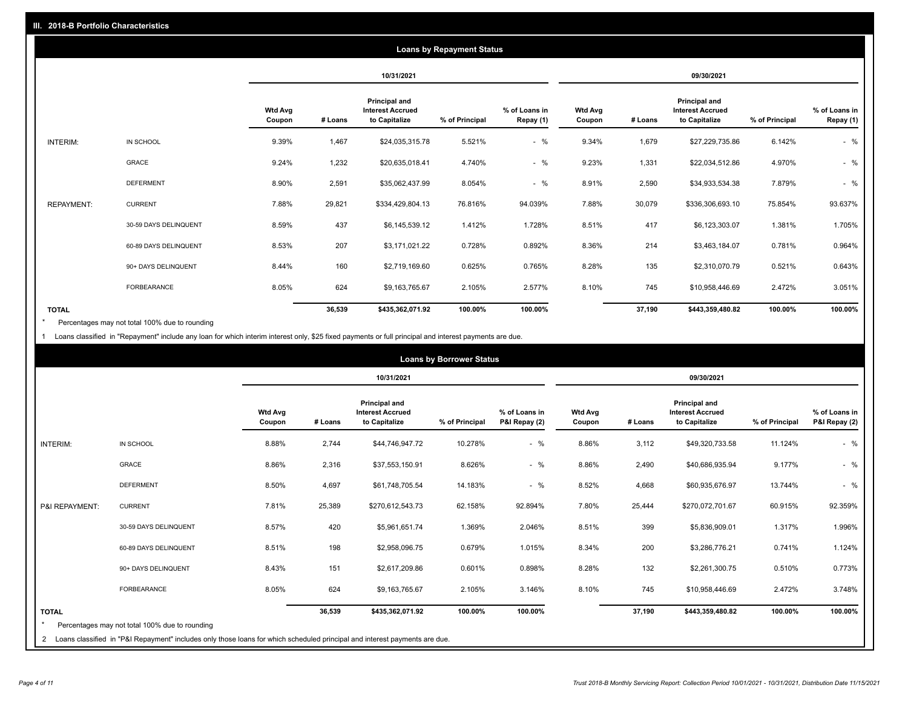|                   |                       |                          |         |                                                           | <b>Loans by Repayment Status</b> |                            |                          |         |                                                           |                |                            |
|-------------------|-----------------------|--------------------------|---------|-----------------------------------------------------------|----------------------------------|----------------------------|--------------------------|---------|-----------------------------------------------------------|----------------|----------------------------|
|                   |                       |                          |         | 10/31/2021                                                |                                  |                            |                          |         | 09/30/2021                                                |                |                            |
|                   |                       | <b>Wtd Avg</b><br>Coupon | # Loans | Principal and<br><b>Interest Accrued</b><br>to Capitalize | % of Principal                   | % of Loans in<br>Repay (1) | <b>Wtd Avg</b><br>Coupon | # Loans | Principal and<br><b>Interest Accrued</b><br>to Capitalize | % of Principal | % of Loans in<br>Repay (1) |
| INTERIM:          | IN SCHOOL             | 9.39%                    | 1,467   | \$24,035,315.78                                           | 5.521%                           | $-$ %                      | 9.34%                    | 1,679   | \$27,229,735.86                                           | 6.142%         | $-$ %                      |
|                   | <b>GRACE</b>          | 9.24%                    | 1,232   | \$20,635,018.41                                           | 4.740%                           | $-$ %                      | 9.23%                    | 1,331   | \$22,034,512.86                                           | 4.970%         | $-$ %                      |
|                   | <b>DEFERMENT</b>      | 8.90%                    | 2,591   | \$35,062,437.99                                           | 8.054%                           | $-$ %                      | 8.91%                    | 2,590   | \$34,933,534.38                                           | 7.879%         | $-$ %                      |
| <b>REPAYMENT:</b> | <b>CURRENT</b>        | 7.88%                    | 29,821  | \$334,429,804.13                                          | 76.816%                          | 94.039%                    | 7.88%                    | 30,079  | \$336,306,693.10                                          | 75.854%        | 93.637%                    |
|                   | 30-59 DAYS DELINQUENT | 8.59%                    | 437     | \$6,145,539.12                                            | 1.412%                           | 1.728%                     | 8.51%                    | 417     | \$6,123,303.07                                            | 1.381%         | 1.705%                     |
|                   | 60-89 DAYS DELINQUENT | 8.53%                    | 207     | \$3,171,021.22                                            | 0.728%                           | 0.892%                     | 8.36%                    | 214     | \$3,463,184.07                                            | 0.781%         | 0.964%                     |
|                   | 90+ DAYS DELINQUENT   | 8.44%                    | 160     | \$2,719,169.60                                            | 0.625%                           | 0.765%                     | 8.28%                    | 135     | \$2,310,070.79                                            | 0.521%         | 0.643%                     |
|                   | <b>FORBEARANCE</b>    | 8.05%                    | 624     | \$9,163,765.67                                            | 2.105%                           | 2.577%                     | 8.10%                    | 745     | \$10,958,446.69                                           | 2.472%         | 3.051%                     |
| <b>TOTAL</b>      |                       |                          | 36,539  | \$435,362,071.92                                          | 100.00%                          | 100.00%                    |                          | 37,190  | \$443,359,480.82                                          | 100.00%        | 100.00%                    |

Percentages may not total 100% due to rounding \*

1 Loans classified in "Repayment" include any loan for which interim interest only, \$25 fixed payments or full principal and interest payments are due.

|                         |                                                                                                                              |                          |         |                                                                  | <b>Loans by Borrower Status</b> |                                |                          |         |                                                                  |                | % of Loans in<br>P&I Repay (2)<br>$-$ %<br>$-$ %<br>$-$ %<br>92.359%<br>1.996%<br>1.124%<br>0.773%<br>3.748% |
|-------------------------|------------------------------------------------------------------------------------------------------------------------------|--------------------------|---------|------------------------------------------------------------------|---------------------------------|--------------------------------|--------------------------|---------|------------------------------------------------------------------|----------------|--------------------------------------------------------------------------------------------------------------|
|                         |                                                                                                                              |                          |         | 10/31/2021                                                       |                                 |                                | 09/30/2021               |         |                                                                  |                |                                                                                                              |
|                         |                                                                                                                              | <b>Wtd Avg</b><br>Coupon | # Loans | <b>Principal and</b><br><b>Interest Accrued</b><br>to Capitalize | % of Principal                  | % of Loans in<br>P&I Repay (2) | <b>Wtd Avg</b><br>Coupon | # Loans | <b>Principal and</b><br><b>Interest Accrued</b><br>to Capitalize | % of Principal |                                                                                                              |
| <b>INTERIM:</b>         | IN SCHOOL                                                                                                                    | 8.88%                    | 2,744   | \$44,746,947.72                                                  | 10.278%                         | $-$ %                          | 8.86%                    | 3,112   | \$49,320,733.58                                                  | 11.124%        |                                                                                                              |
|                         | <b>GRACE</b>                                                                                                                 | 8.86%                    | 2,316   | \$37,553,150.91                                                  | 8.626%                          | $-$ %                          | 8.86%                    | 2,490   | \$40,686,935.94                                                  | 9.177%         |                                                                                                              |
|                         | <b>DEFERMENT</b>                                                                                                             | 8.50%                    | 4,697   | \$61,748,705.54                                                  | 14.183%                         | $-$ %                          | 8.52%                    | 4,668   | \$60,935,676.97                                                  | 13.744%        |                                                                                                              |
| P&I REPAYMENT:          | <b>CURRENT</b>                                                                                                               | 7.81%                    | 25,389  | \$270,612,543.73                                                 | 62.158%                         | 92.894%                        | 7.80%                    | 25,444  | \$270,072,701.67                                                 | 60.915%        |                                                                                                              |
|                         | 30-59 DAYS DELINQUENT                                                                                                        | 8.57%                    | 420     | \$5,961,651.74                                                   | 1.369%                          | 2.046%                         | 8.51%                    | 399     | \$5,836,909.01                                                   | 1.317%         |                                                                                                              |
|                         | 60-89 DAYS DELINQUENT                                                                                                        | 8.51%                    | 198     | \$2,958,096.75                                                   | 0.679%                          | 1.015%                         | 8.34%                    | 200     | \$3,286,776.21                                                   | 0.741%         |                                                                                                              |
|                         | 90+ DAYS DELINQUENT                                                                                                          | 8.43%                    | 151     | \$2,617,209.86                                                   | 0.601%                          | 0.898%                         | 8.28%                    | 132     | \$2,261,300.75                                                   | 0.510%         |                                                                                                              |
|                         | <b>FORBEARANCE</b>                                                                                                           | 8.05%                    | 624     | \$9,163,765.67                                                   | 2.105%                          | 3.146%                         | 8.10%                    | 745     | \$10,958,446.69                                                  | 2.472%         |                                                                                                              |
| <b>TOTAL</b><br>$\star$ | Percentages may not total 100% due to rounding                                                                               |                          | 36,539  | \$435,362,071.92                                                 | 100.00%                         | 100.00%                        |                          | 37,190  | \$443,359,480.82                                                 | 100.00%        | 100.00%                                                                                                      |
|                         | 2 Loans classified in "P&I Repayment" includes only those loans for which scheduled principal and interest payments are due. |                          |         |                                                                  |                                 |                                |                          |         |                                                                  |                |                                                                                                              |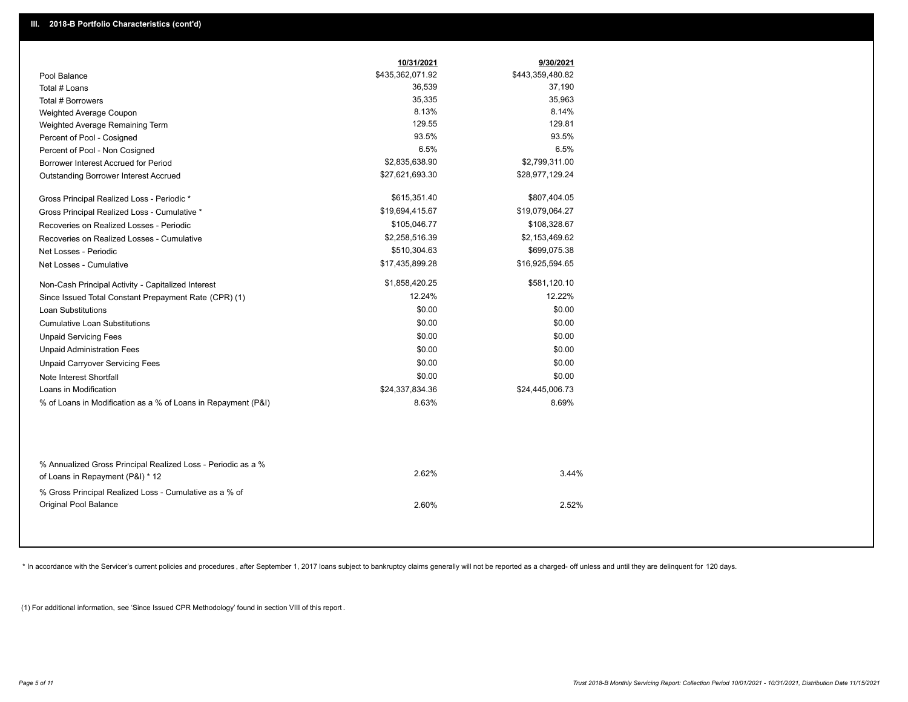|                                                                                 | 10/31/2021       | 9/30/2021        |  |
|---------------------------------------------------------------------------------|------------------|------------------|--|
| Pool Balance                                                                    | \$435,362,071.92 | \$443,359,480.82 |  |
| Total # Loans                                                                   | 36,539           | 37,190           |  |
| Total # Borrowers                                                               | 35,335           | 35,963           |  |
| Weighted Average Coupon                                                         | 8.13%            | 8.14%            |  |
| Weighted Average Remaining Term                                                 | 129.55           | 129.81           |  |
| Percent of Pool - Cosigned                                                      | 93.5%            | 93.5%            |  |
| Percent of Pool - Non Cosigned                                                  | 6.5%             | 6.5%             |  |
| Borrower Interest Accrued for Period                                            | \$2,835,638.90   | \$2,799,311.00   |  |
| <b>Outstanding Borrower Interest Accrued</b>                                    | \$27,621,693.30  | \$28,977,129.24  |  |
| Gross Principal Realized Loss - Periodic *                                      | \$615,351.40     | \$807,404.05     |  |
| Gross Principal Realized Loss - Cumulative *                                    | \$19,694,415.67  | \$19,079,064.27  |  |
| Recoveries on Realized Losses - Periodic                                        | \$105,046.77     | \$108,328.67     |  |
| Recoveries on Realized Losses - Cumulative                                      | \$2,258,516.39   | \$2,153,469.62   |  |
| Net Losses - Periodic                                                           | \$510,304.63     | \$699,075.38     |  |
| Net Losses - Cumulative                                                         | \$17,435,899.28  | \$16,925,594.65  |  |
| Non-Cash Principal Activity - Capitalized Interest                              | \$1,858,420.25   | \$581,120.10     |  |
| Since Issued Total Constant Prepayment Rate (CPR) (1)                           | 12.24%           | 12.22%           |  |
| <b>Loan Substitutions</b>                                                       | \$0.00           | \$0.00           |  |
| <b>Cumulative Loan Substitutions</b>                                            | \$0.00           | \$0.00           |  |
| <b>Unpaid Servicing Fees</b>                                                    | \$0.00           | \$0.00           |  |
| <b>Unpaid Administration Fees</b>                                               | \$0.00           | \$0.00           |  |
| <b>Unpaid Carryover Servicing Fees</b>                                          | \$0.00           | \$0.00           |  |
| Note Interest Shortfall                                                         | \$0.00           | \$0.00           |  |
| Loans in Modification                                                           | \$24,337,834.36  | \$24,445,006.73  |  |
| % of Loans in Modification as a % of Loans in Repayment (P&I)                   | 8.63%            | 8.69%            |  |
| % Annualized Gross Principal Realized Loss - Periodic as a %                    | 2.62%            | 3.44%            |  |
| of Loans in Repayment (P&I) * 12                                                |                  |                  |  |
| % Gross Principal Realized Loss - Cumulative as a % of<br>Original Pool Balance | 2.60%            | 2.52%            |  |

\* In accordance with the Servicer's current policies and procedures, after September 1, 2017 loans subject to bankruptcy claims generally will not be reported as a charged- off unless and until they are delinquent for 120

(1) For additional information, see 'Since Issued CPR Methodology' found in section VIII of this report .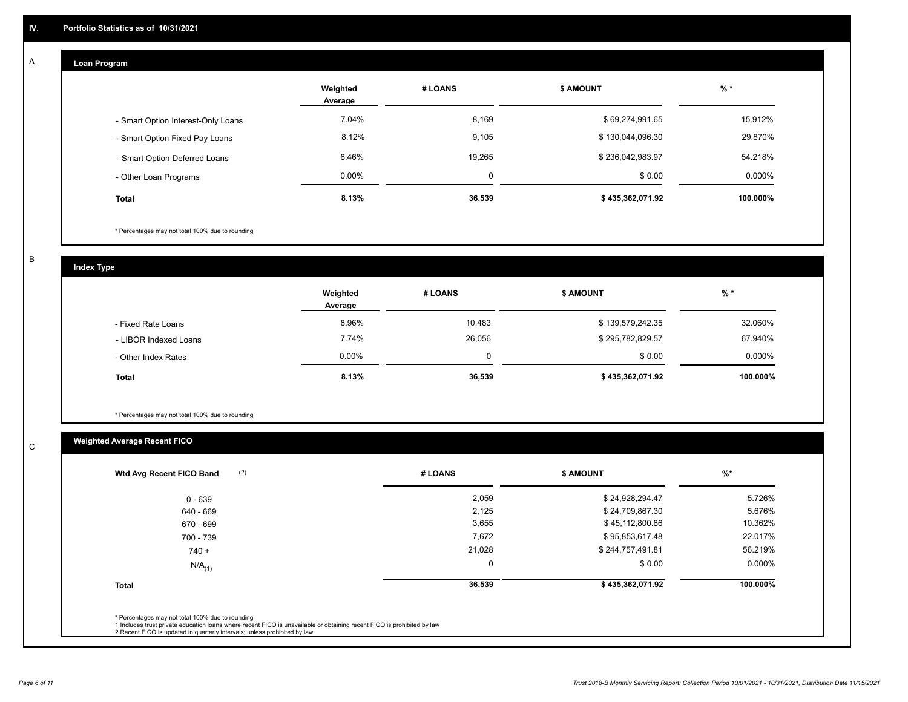## **Loan Program**

A

|                                    | Weighted<br>Average | # LOANS  | <b>\$ AMOUNT</b> | $%$ *    |
|------------------------------------|---------------------|----------|------------------|----------|
| - Smart Option Interest-Only Loans | 7.04%               | 8,169    | \$69,274,991.65  | 15.912%  |
| - Smart Option Fixed Pay Loans     | 8.12%               | 9,105    | \$130,044,096.30 | 29.870%  |
| - Smart Option Deferred Loans      | 8.46%               | 19.265   | \$236,042,983.97 | 54.218%  |
| - Other Loan Programs              | $0.00\%$            | $\Omega$ | \$0.00           | 0.000%   |
| <b>Total</b>                       | 8.13%               | 36,539   | \$435,362,071.92 | 100.000% |

\* Percentages may not total 100% due to rounding

B

C

**Index Type**

|                       | Weighted<br>Average | # LOANS  | <b>\$ AMOUNT</b> | % *      |
|-----------------------|---------------------|----------|------------------|----------|
| - Fixed Rate Loans    | 8.96%               | 10,483   | \$139,579,242.35 | 32.060%  |
| - LIBOR Indexed Loans | 7.74%               | 26.056   | \$295,782,829.57 | 67.940%  |
| - Other Index Rates   | $0.00\%$            | $\Omega$ | \$0.00           | 0.000%   |
| <b>Total</b>          | 8.13%               | 36,539   | \$435,362,071.92 | 100.000% |

\* Percentages may not total 100% due to rounding

# **Weighted Average Recent FICO**

| $0 - 639$            | 2,059       | \$24,928,294.47  | 5.726%    |
|----------------------|-------------|------------------|-----------|
| 640 - 669            | 2,125       | \$24,709,867.30  | 5.676%    |
| 670 - 699            | 3,655       | \$45,112,800.86  | 10.362%   |
| 700 - 739            | 7,672       | \$95,853,617.48  | 22.017%   |
| $740 +$              | 21,028      | \$244,757,491.81 | 56.219%   |
| $N/A$ <sub>(1)</sub> | $\mathbf 0$ | \$0.00           | $0.000\%$ |
| <b>Total</b>         | 36,539      | \$435,362,071.92 | 100.000%  |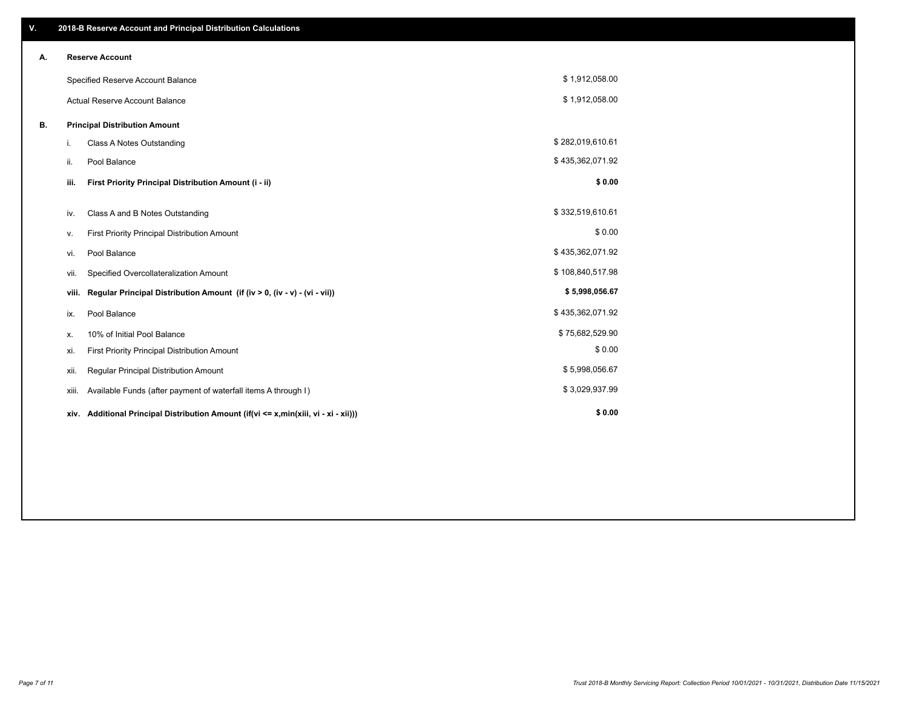| V. |                                       | 2018-B Reserve Account and Principal Distribution Calculations                       |                  |  |
|----|---------------------------------------|--------------------------------------------------------------------------------------|------------------|--|
| А. |                                       | <b>Reserve Account</b>                                                               |                  |  |
|    |                                       | Specified Reserve Account Balance                                                    | \$1,912,058.00   |  |
|    | <b>Actual Reserve Account Balance</b> |                                                                                      | \$1,912,058.00   |  |
| В. | <b>Principal Distribution Amount</b>  |                                                                                      |                  |  |
|    | i.                                    | Class A Notes Outstanding                                                            | \$282,019,610.61 |  |
|    | ii.                                   | Pool Balance                                                                         | \$435,362,071.92 |  |
|    | iii.                                  | First Priority Principal Distribution Amount (i - ii)                                | \$0.00           |  |
|    | iv.                                   | Class A and B Notes Outstanding                                                      | \$332,519,610.61 |  |
|    | v.                                    | First Priority Principal Distribution Amount                                         | \$0.00           |  |
|    | vi.                                   | Pool Balance                                                                         | \$435,362,071.92 |  |
|    | vii.                                  | Specified Overcollateralization Amount                                               | \$108,840,517.98 |  |
|    | viii.                                 | Regular Principal Distribution Amount (if (iv > 0, (iv - v) - (vi - vii))            | \$5,998,056.67   |  |
|    | ix.                                   | Pool Balance                                                                         | \$435,362,071.92 |  |
|    | х.                                    | 10% of Initial Pool Balance                                                          | \$75,682,529.90  |  |
|    | xi.                                   | First Priority Principal Distribution Amount                                         | \$0.00           |  |
|    | xii.                                  | Regular Principal Distribution Amount                                                | \$5,998,056.67   |  |
|    | xiii.                                 | Available Funds (after payment of waterfall items A through I)                       | \$3,029,937.99   |  |
|    |                                       | xiv. Additional Principal Distribution Amount (if(vi <= x,min(xiii, vi - xi - xii))) | \$0.00           |  |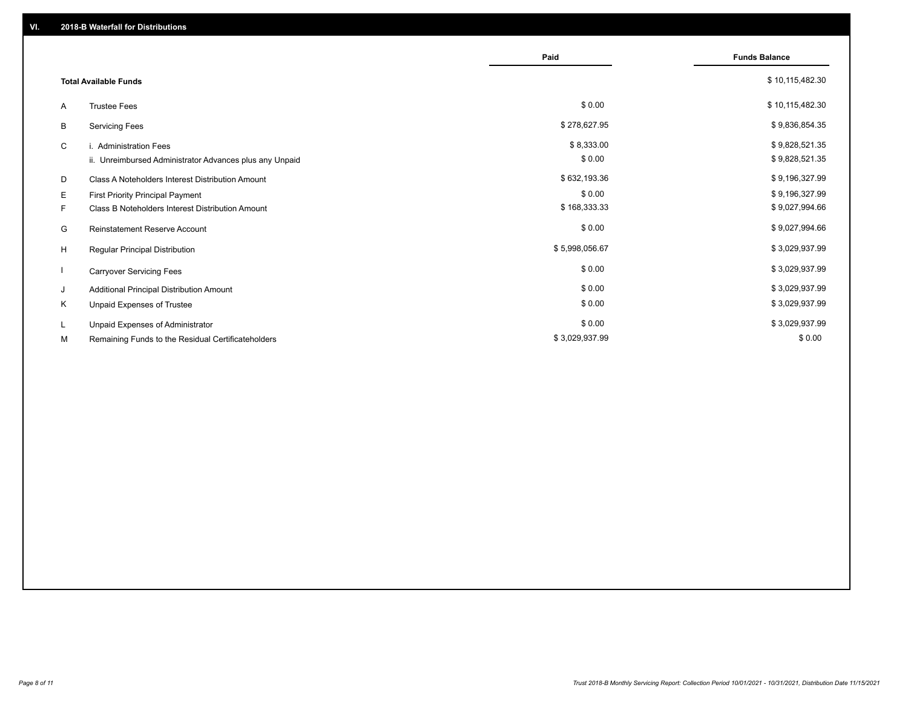|                              |                                                         | Paid           | <b>Funds Balance</b> |
|------------------------------|---------------------------------------------------------|----------------|----------------------|
| <b>Total Available Funds</b> |                                                         |                | \$10,115,482.30      |
| A                            | <b>Trustee Fees</b>                                     | \$0.00         | \$10,115,482.30      |
| B                            | <b>Servicing Fees</b>                                   | \$278,627.95   | \$9,836,854.35       |
| C                            | i. Administration Fees                                  | \$8,333.00     | \$9,828,521.35       |
|                              | ii. Unreimbursed Administrator Advances plus any Unpaid | \$0.00         | \$9,828,521.35       |
| D                            | Class A Noteholders Interest Distribution Amount        | \$632,193.36   | \$9,196,327.99       |
| E.                           | <b>First Priority Principal Payment</b>                 | \$0.00         | \$9,196,327.99       |
| F.                           | Class B Noteholders Interest Distribution Amount        | \$168,333.33   | \$9,027,994.66       |
| G                            | <b>Reinstatement Reserve Account</b>                    | \$0.00         | \$9,027,994.66       |
| H                            | Regular Principal Distribution                          | \$5,998,056.67 | \$3,029,937.99       |
|                              | <b>Carryover Servicing Fees</b>                         | \$0.00         | \$3,029,937.99       |
| J                            | Additional Principal Distribution Amount                | \$0.00         | \$3,029,937.99       |
| Κ                            | Unpaid Expenses of Trustee                              | \$0.00         | \$3,029,937.99       |
| L                            | Unpaid Expenses of Administrator                        | \$0.00         | \$3,029,937.99       |
| М                            | Remaining Funds to the Residual Certificateholders      | \$3,029,937.99 | \$0.00               |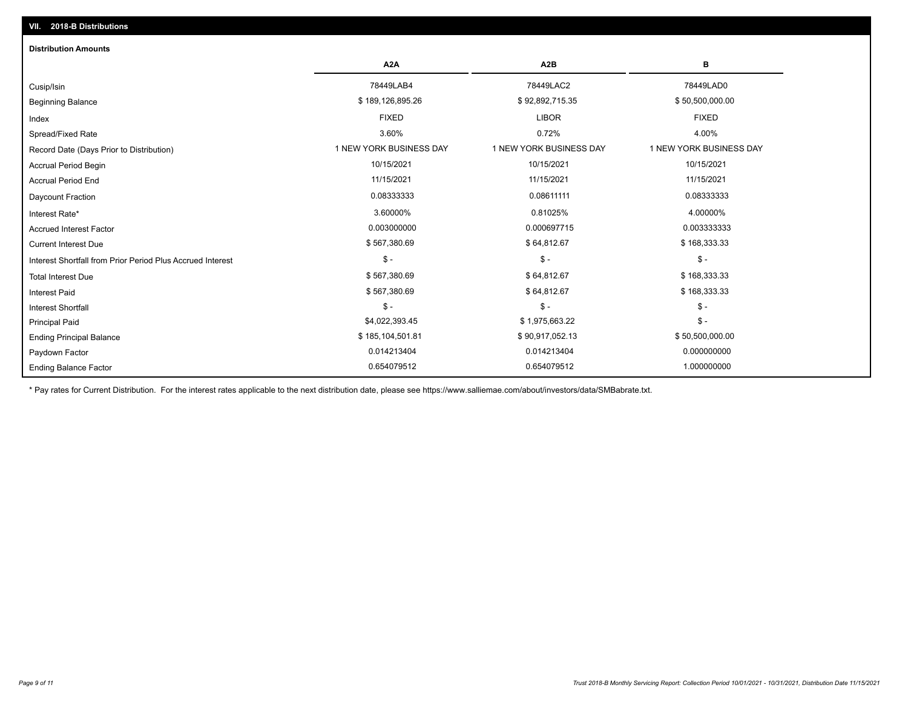| <b>Distribution Amounts</b>                                |                         |                         |                         |
|------------------------------------------------------------|-------------------------|-------------------------|-------------------------|
|                                                            | A <sub>2</sub> A        | A <sub>2</sub> B        | в                       |
| Cusip/Isin                                                 | 78449LAB4               | 78449LAC2               | 78449LAD0               |
| <b>Beginning Balance</b>                                   | \$189,126,895.26        | \$92,892,715.35         | \$50,500,000.00         |
| Index                                                      | <b>FIXED</b>            | <b>LIBOR</b>            | <b>FIXED</b>            |
| Spread/Fixed Rate                                          | 3.60%                   | 0.72%                   | 4.00%                   |
| Record Date (Days Prior to Distribution)                   | 1 NEW YORK BUSINESS DAY | 1 NEW YORK BUSINESS DAY | 1 NEW YORK BUSINESS DAY |
| Accrual Period Begin                                       | 10/15/2021              | 10/15/2021              | 10/15/2021              |
| <b>Accrual Period End</b>                                  | 11/15/2021              | 11/15/2021              | 11/15/2021              |
| Daycount Fraction                                          | 0.08333333              | 0.08611111              | 0.08333333              |
| Interest Rate*                                             | 3.60000%                | 0.81025%                | 4.00000%                |
| <b>Accrued Interest Factor</b>                             | 0.003000000             | 0.000697715             | 0.003333333             |
| <b>Current Interest Due</b>                                | \$567,380.69            | \$64,812.67             | \$168,333.33            |
| Interest Shortfall from Prior Period Plus Accrued Interest | $\mathsf{\$}$ -         | $$ -$                   | $$ -$                   |
| <b>Total Interest Due</b>                                  | \$567,380.69            | \$64,812.67             | \$168,333.33            |
| <b>Interest Paid</b>                                       | \$567,380.69            | \$64,812.67             | \$168,333.33            |
| Interest Shortfall                                         | $\mathsf{\$}$ -         | $$ -$                   | $$ -$                   |
| <b>Principal Paid</b>                                      | \$4,022,393.45          | \$1,975,663.22          | $$ -$                   |
| <b>Ending Principal Balance</b>                            | \$185,104,501.81        | \$90,917,052.13         | \$50,500,000.00         |
| Paydown Factor                                             | 0.014213404             | 0.014213404             | 0.000000000             |
| <b>Ending Balance Factor</b>                               | 0.654079512             | 0.654079512             | 1.000000000             |

\* Pay rates for Current Distribution. For the interest rates applicable to the next distribution date, please see https://www.salliemae.com/about/investors/data/SMBabrate.txt.

**VII. 2018-B Distributions**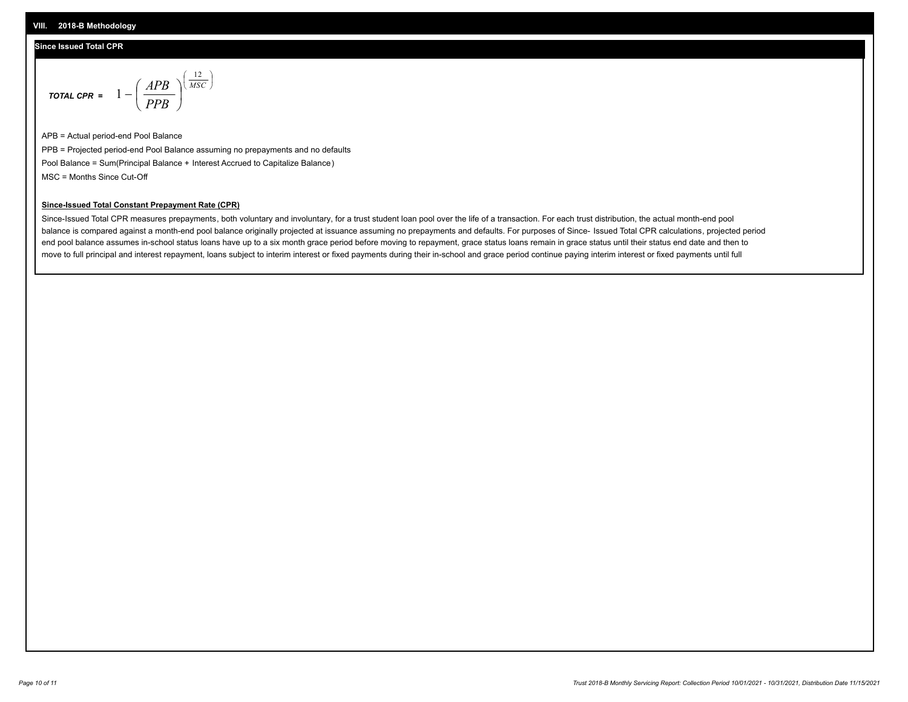### **Since Issued Total CPR**

$$
\text{total cPR} = 1 - \left(\frac{APB}{PPB}\right)^{\left(\frac{12}{MSC}\right)}
$$

APB = Actual period-end Pool Balance PPB = Projected period-end Pool Balance assuming no prepayments and no defaults Pool Balance = Sum(Principal Balance + Interest Accrued to Capitalize Balance) MSC = Months Since Cut-Off

I J Ι

#### **Since-Issued Total Constant Prepayment Rate (CPR)**

Since-Issued Total CPR measures prepayments, both voluntary and involuntary, for a trust student loan pool over the life of a transaction. For each trust distribution, the actual month-end pool balance is compared against a month-end pool balance originally projected at issuance assuming no prepayments and defaults. For purposes of Since- Issued Total CPR calculations, projected period end pool balance assumes in-school status loans have up to a six month grace period before moving to repayment, grace status loans remain in grace status until their status end date and then to move to full principal and interest repayment, loans subject to interim interest or fixed payments during their in-school and grace period continue paying interim interest or fixed payments until full